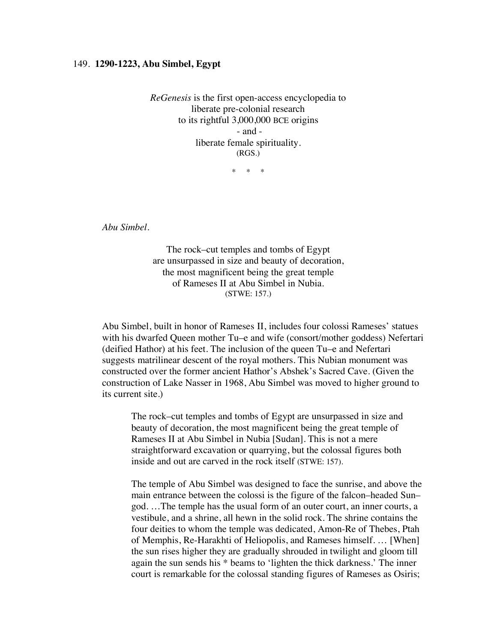## 149. **1290-1223, Abu Simbel, Egypt**

*ReGenesis* is the first open-access encyclopedia to liberate pre-colonial research to its rightful 3,000,000 BCE origins - and liberate female spirituality. (RGS.)

\* \* \*

*Abu Simbel.*

The rock–cut temples and tombs of Egypt are unsurpassed in size and beauty of decoration, the most magnificent being the great temple of Rameses II at Abu Simbel in Nubia. (STWE: 157.)

Abu Simbel, built in honor of Rameses II, includes four colossi Rameses' statues with his dwarfed Queen mother Tu–e and wife (consort/mother goddess) Nefertari (deified Hathor) at his feet. The inclusion of the queen Tu–e and Nefertari suggests matrilinear descent of the royal mothers. This Nubian monument was constructed over the former ancient Hathor's Abshek's Sacred Cave. (Given the construction of Lake Nasser in 1968, Abu Simbel was moved to higher ground to its current site.)

The rock–cut temples and tombs of Egypt are unsurpassed in size and beauty of decoration, the most magnificent being the great temple of Rameses II at Abu Simbel in Nubia [Sudan]. This is not a mere straightforward excavation or quarrying, but the colossal figures both inside and out are carved in the rock itself (STWE: 157).

The temple of Abu Simbel was designed to face the sunrise, and above the main entrance between the colossi is the figure of the falcon–headed Sun– god. …The temple has the usual form of an outer court, an inner courts, a vestibule, and a shrine, all hewn in the solid rock. The shrine contains the four deities to whom the temple was dedicated, Amon-Re of Thebes, Ptah of Memphis, Re-Harakhti of Heliopolis, and Rameses himself. … [When] the sun rises higher they are gradually shrouded in twilight and gloom till again the sun sends his \* beams to 'lighten the thick darkness.' The inner court is remarkable for the colossal standing figures of Rameses as Osiris;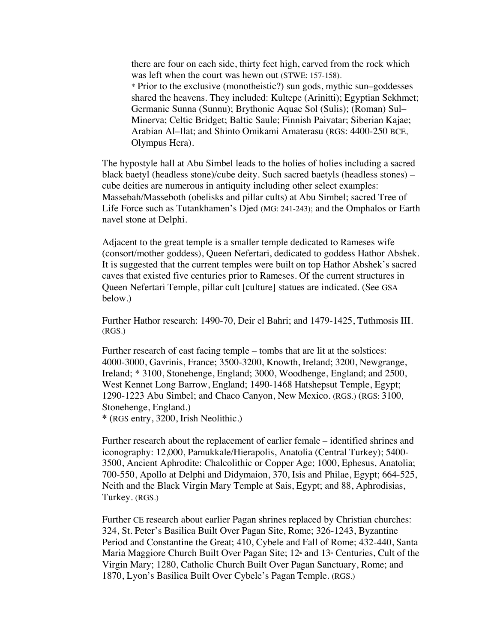there are four on each side, thirty feet high, carved from the rock which was left when the court was hewn out (STWE: 157-158). \* Prior to the exclusive (monotheistic?) sun gods, mythic sun–goddesses shared the heavens. They included: Kultepe (Arinitti); Egyptian Sekhmet; Germanic Sunna (Sunnu); Brythonic Aquae Sol (Sulis); (Roman) Sul– Minerva; Celtic Bridget; Baltic Saule; Finnish Paivatar; Siberian Kajae; Arabian Al–Ilat; and Shinto Omikami Amaterasu (RGS: 4400-250 BCE, Olympus Hera).

The hypostyle hall at Abu Simbel leads to the holies of holies including a sacred black baetyl (headless stone)/cube deity. Such sacred baetyls (headless stones) – cube deities are numerous in antiquity including other select examples: Massebah/Masseboth (obelisks and pillar cults) at Abu Simbel; sacred Tree of Life Force such as Tutankhamen's Djed (MG: 241-243); and the Omphalos or Earth navel stone at Delphi.

Adjacent to the great temple is a smaller temple dedicated to Rameses wife (consort/mother goddess), Queen Nefertari, dedicated to goddess Hathor Abshek. It is suggested that the current temples were built on top Hathor Abshek's sacred caves that existed five centuries prior to Rameses. Of the current structures in Queen Nefertari Temple, pillar cult [culture] statues are indicated. (See GSA below.)

Further Hathor research: 1490-70, Deir el Bahri; and 1479-1425, Tuthmosis III. (RGS.)

Further research of east facing temple – tombs that are lit at the solstices: 4000-3000, Gavrinis, France; 3500-3200, Knowth, Ireland; 3200, Newgrange, Ireland; \* 3100, Stonehenge, England; 3000, Woodhenge, England; and 2500, West Kennet Long Barrow, England; 1490-1468 Hatshepsut Temple, Egypt; 1290-1223 Abu Simbel; and Chaco Canyon, New Mexico. (RGS.) (RGS: 3100, Stonehenge, England.)

**\*** (RGS entry, 3200, Irish Neolithic.)

Further research about the replacement of earlier female – identified shrines and iconography: 12,000, Pamukkale/Hierapolis, Anatolia (Central Turkey); 5400- 3500, Ancient Aphrodite: Chalcolithic or Copper Age; 1000, Ephesus, Anatolia; 700-550, Apollo at Delphi and Didymaion, 370, Isis and Philae, Egypt; 664-525, Neith and the Black Virgin Mary Temple at Sais, Egypt; and 88, Aphrodisias, Turkey. (RGS.)

Further CE research about earlier Pagan shrines replaced by Christian churches: 324, St. Peter's Basilica Built Over Pagan Site, Rome; 326-1243, Byzantine Period and Constantine the Great; 410, Cybele and Fall of Rome; 432-440, Santa Maria Maggiore Church Built Over Pagan Site;  $12<sup>*</sup>$  and  $13<sup>*</sup>$  Centuries, Cult of the Virgin Mary; 1280, Catholic Church Built Over Pagan Sanctuary, Rome; and 1870, Lyon's Basilica Built Over Cybele's Pagan Temple. (RGS.)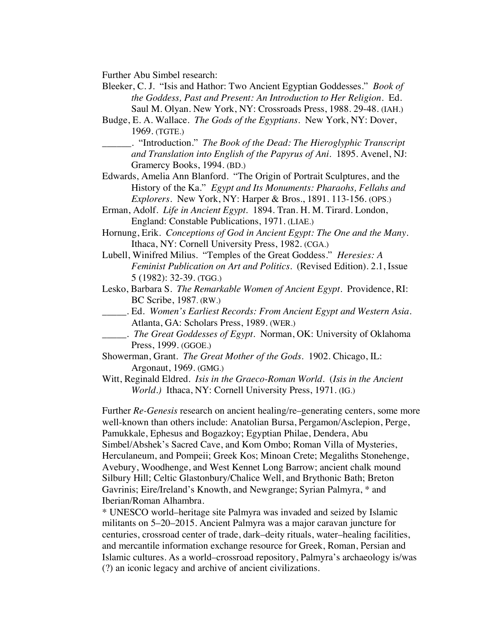Further Abu Simbel research:

- Bleeker, C. J. "Isis and Hathor: Two Ancient Egyptian Goddesses." *Book of the Goddess, Past and Present: An Introduction to Her Religion.* Ed. Saul M. Olyan. New York, NY: Crossroads Press, 1988. 29-48. (IAH.)
- Budge, E. A. Wallace. *The Gods of the Egyptians.* New York, NY: Dover, 1969. (TGTE.)

\_\_\_\_\_\_. "Introduction." *The Book of the Dead: The Hieroglyphic Transcript and Translation into English of the Papyrus of Ani*. 1895. Avenel, NJ: Gramercy Books, 1994. (BD.)

- Edwards, Amelia Ann Blanford. "The Origin of Portrait Sculptures, and the History of the Ka." *Egypt and Its Monuments: Pharaohs, Fellahs and Explorers*. New York, NY: Harper & Bros., 1891. 113-156. (OPS.)
- Erman, Adolf. *Life in Ancient Egypt.* 1894. Tran. H. M. Tirard. London, England: Constable Publications, 1971. (LIAE.)
- Hornung, Erik. *Conceptions of God in Ancient Egypt: The One and the Many*. Ithaca, NY: Cornell University Press, 1982. (CGA.)
- Lubell, Winifred Milius. "Temples of the Great Goddess." *Heresies: A Feminist Publication on Art and Politics.* (Revised Edition). 2.1, Issue 5 (1982): 32-39. (TGG.)
- Lesko, Barbara S. *The Remarkable Women of Ancient Egypt*. Providence, RI: BC Scribe, 1987. (RW.)
- \_\_\_\_\_. Ed. *Women's Earliest Records: From Ancient Egypt and Western Asia*. Atlanta, GA: Scholars Press, 1989. (WER.)
- \_\_\_\_\_. *The Great Goddesses of Egypt*. Norman, OK: University of Oklahoma Press, 1999. (GGOE.)
- Showerman, Grant. *The Great Mother of the Gods*. 1902. Chicago, IL: Argonaut, 1969. (GMG.)
- Witt, Reginald Eldred. *Isis in the Graeco-Roman World*. (*Isis in the Ancient World.)* Ithaca, NY: Cornell University Press, 1971. (IG.)

Further *Re-Genesis* research on ancient healing/re–generating centers, some more well-known than others include: Anatolian Bursa, Pergamon/Asclepion, Perge, Pamukkale, Ephesus and Bogazkoy; Egyptian Philae, Dendera, Abu Simbel/Abshek's Sacred Cave, and Kom Ombo; Roman Villa of Mysteries, Herculaneum, and Pompeii; Greek Kos; Minoan Crete; Megaliths Stonehenge, Avebury, Woodhenge, and West Kennet Long Barrow; ancient chalk mound Silbury Hill; Celtic Glastonbury/Chalice Well, and Brythonic Bath; Breton Gavrinis; Eire/Ireland's Knowth, and Newgrange; Syrian Palmyra, \* and Iberian/Roman Alhambra.

\* UNESCO world–heritage site Palmyra was invaded and seized by Islamic militants on 5–20–2015. Ancient Palmyra was a major caravan juncture for centuries, crossroad center of trade, dark–deity rituals, water–healing facilities, and mercantile information exchange resource for Greek, Roman, Persian and Islamic cultures. As a world–crossroad repository, Palmyra's archaeology is/was (?) an iconic legacy and archive of ancient civilizations.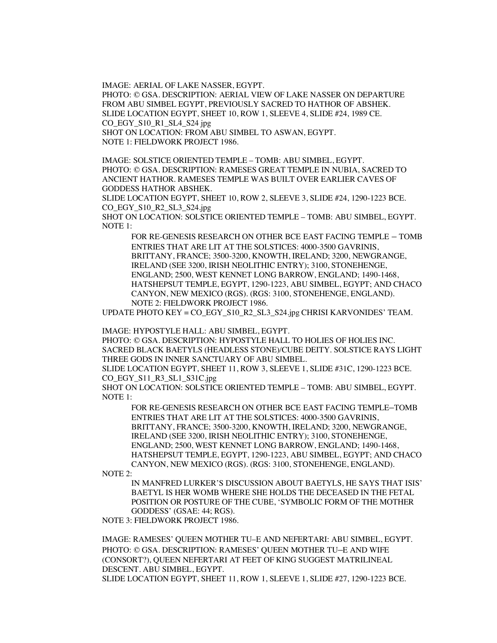IMAGE: AERIAL OF LAKE NASSER, EGYPT.

PHOTO: © GSA. DESCRIPTION: AERIAL VIEW OF LAKE NASSER ON DEPARTURE FROM ABU SIMBEL EGYPT, PREVIOUSLY SACRED TO HATHOR OF ABSHEK. SLIDE LOCATION EGYPT, SHEET 10, ROW 1, SLEEVE 4, SLIDE #24, 1989 CE. CO\_EGY\_S10\_R1\_SL4\_S24 jpg SHOT ON LOCATION: FROM ABU SIMBEL TO ASWAN, EGYPT.

NOTE 1: FIELDWORK PROJECT 1986.

IMAGE: SOLSTICE ORIENTED TEMPLE – TOMB: ABU SIMBEL, EGYPT. PHOTO: © GSA. DESCRIPTION: RAMESES GREAT TEMPLE IN NUBIA, SACRED TO ANCIENT HATHOR. RAMESES TEMPLE WAS BUILT OVER EARLIER CAVES OF GODDESS HATHOR ABSHEK.

SLIDE LOCATION EGYPT, SHEET 10, ROW 2, SLEEVE 3, SLIDE #24, 1290-1223 BCE. CO\_EGY\_S10\_R2\_SL3\_S24.jpg

SHOT ON LOCATION: SOLSTICE ORIENTED TEMPLE – TOMB: ABU SIMBEL, EGYPT. NOTE 1:

FOR RE-GENESIS RESEARCH ON OTHER BCE EAST FACING TEMPLE – TOMB ENTRIES THAT ARE LIT AT THE SOLSTICES: 4000-3500 GAVRINIS, BRITTANY, FRANCE; 3500-3200, KNOWTH, IRELAND; 3200, NEWGRANGE, IRELAND (SEE 3200, IRISH NEOLITHIC ENTRY); 3100, STONEHENGE, ENGLAND; 2500, WEST KENNET LONG BARROW, ENGLAND; 1490-1468, HATSHEPSUT TEMPLE, EGYPT, 1290-1223, ABU SIMBEL, EGYPT; AND CHACO CANYON, NEW MEXICO (RGS). (RGS: 3100, STONEHENGE, ENGLAND). NOTE 2: FIELDWORK PROJECT 1986.

UPDATE PHOTO KEY = CO\_EGY\_S10\_R2\_SL3\_S24.jpg CHRISI KARVONIDES' TEAM.

IMAGE: HYPOSTYLE HALL: ABU SIMBEL, EGYPT.

PHOTO: © GSA. DESCRIPTION: HYPOSTYLE HALL TO HOLIES OF HOLIES INC. SACRED BLACK BAETYLS (HEADLESS STONE)/CUBE DEITY. SOLSTICE RAYS LIGHT THREE GODS IN INNER SANCTUARY OF ABU SIMBEL.

SLIDE LOCATION EGYPT, SHEET 11, ROW 3, SLEEVE 1, SLIDE #31C, 1290-1223 BCE. CO\_EGY\_S11\_R3\_SL1\_S31C.jpg

SHOT ON LOCATION: SOLSTICE ORIENTED TEMPLE – TOMB: ABU SIMBEL, EGYPT. NOTE 1:

FOR RE-GENESIS RESEARCH ON OTHER BCE EAST FACING TEMPLE–TOMB ENTRIES THAT ARE LIT AT THE SOLSTICES: 4000-3500 GAVRINIS, BRITTANY, FRANCE; 3500-3200, KNOWTH, IRELAND; 3200, NEWGRANGE, IRELAND (SEE 3200, IRISH NEOLITHIC ENTRY); 3100, STONEHENGE, ENGLAND; 2500, WEST KENNET LONG BARROW, ENGLAND; 1490-1468, HATSHEPSUT TEMPLE, EGYPT, 1290-1223, ABU SIMBEL, EGYPT; AND CHACO CANYON, NEW MEXICO (RGS). (RGS: 3100, STONEHENGE, ENGLAND).

NOTE 2:

IN MANFRED LURKER'S DISCUSSION ABOUT BAETYLS, HE SAYS THAT ISIS' BAETYL IS HER WOMB WHERE SHE HOLDS THE DECEASED IN THE FETAL POSITION OR POSTURE OF THE CUBE, 'SYMBOLIC FORM OF THE MOTHER GODDESS' (GSAE: 44; RGS).

NOTE 3: FIELDWORK PROJECT 1986.

IMAGE: RAMESES' QUEEN MOTHER TU–E AND NEFERTARI: ABU SIMBEL, EGYPT. PHOTO: © GSA. DESCRIPTION: RAMESES' QUEEN MOTHER TU–E AND WIFE (CONSORT?), QUEEN NEFERTARI AT FEET OF KING SUGGEST MATRILINEAL DESCENT. ABU SIMBEL, EGYPT.

SLIDE LOCATION EGYPT, SHEET 11, ROW 1, SLEEVE 1, SLIDE #27, 1290-1223 BCE.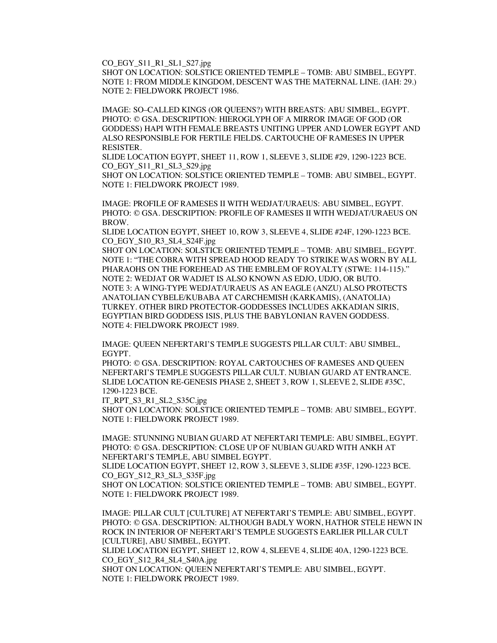CO\_EGY\_S11\_R1\_SL1\_S27.jpg

SHOT ON LOCATION: SOLSTICE ORIENTED TEMPLE – TOMB: ABU SIMBEL, EGYPT. NOTE 1: FROM MIDDLE KINGDOM, DESCENT WAS THE MATERNAL LINE. (IAH: 29.) NOTE 2: FIELDWORK PROJECT 1986.

IMAGE: SO–CALLED KINGS (OR QUEENS?) WITH BREASTS: ABU SIMBEL, EGYPT. PHOTO: © GSA. DESCRIPTION: HIEROGLYPH OF A MIRROR IMAGE OF GOD (OR GODDESS) HAPI WITH FEMALE BREASTS UNITING UPPER AND LOWER EGYPT AND ALSO RESPONSIBLE FOR FERTILE FIELDS. CARTOUCHE OF RAMESES IN UPPER RESISTER.

SLIDE LOCATION EGYPT, SHEET 11, ROW 1, SLEEVE 3, SLIDE #29, 1290-1223 BCE. CO\_EGY\_S11\_R1\_SL3\_S29.jpg

SHOT ON LOCATION: SOLSTICE ORIENTED TEMPLE – TOMB: ABU SIMBEL, EGYPT. NOTE 1: FIELDWORK PROJECT 1989.

IMAGE: PROFILE OF RAMESES II WITH WEDJAT/URAEUS: ABU SIMBEL, EGYPT. PHOTO: © GSA. DESCRIPTION: PROFILE OF RAMESES II WITH WEDJAT/URAEUS ON BROW.

SLIDE LOCATION EGYPT, SHEET 10, ROW 3, SLEEVE 4, SLIDE #24F, 1290-1223 BCE. CO\_EGY\_S10\_R3\_SL4\_S24F.jpg

SHOT ON LOCATION: SOLSTICE ORIENTED TEMPLE – TOMB: ABU SIMBEL, EGYPT. NOTE 1: "THE COBRA WITH SPREAD HOOD READY TO STRIKE WAS WORN BY ALL PHARAOHS ON THE FOREHEAD AS THE EMBLEM OF ROYALTY (STWE: 114-115)." NOTE 2: WEDJAT OR WADJET IS ALSO KNOWN AS EDJO, UDJO, OR BUTO. NOTE 3: A WING-TYPE WEDJAT/URAEUS AS AN EAGLE (ANZU) ALSO PROTECTS ANATOLIAN CYBELE/KUBABA AT CARCHEMISH (KARKAMIS), (ANATOLIA) TURKEY. OTHER BIRD PROTECTOR-GODDESSES INCLUDES AKKADIAN SIRIS, EGYPTIAN BIRD GODDESS ISIS, PLUS THE BABYLONIAN RAVEN GODDESS. NOTE 4: FIELDWORK PROJECT 1989.

IMAGE: QUEEN NEFERTARI'S TEMPLE SUGGESTS PILLAR CULT: ABU SIMBEL, EGYPT.

PHOTO: © GSA. DESCRIPTION: ROYAL CARTOUCHES OF RAMESES AND QUEEN NEFERTARI'S TEMPLE SUGGESTS PILLAR CULT. NUBIAN GUARD AT ENTRANCE. SLIDE LOCATION RE-GENESIS PHASE 2, SHEET 3, ROW 1, SLEEVE 2, SLIDE #35C, 1290-1223 BCE.

IT\_RPT\_S3\_R1\_SL2\_S35C.jpg

SHOT ON LOCATION: SOLSTICE ORIENTED TEMPLE – TOMB: ABU SIMBEL, EGYPT. NOTE 1: FIELDWORK PROJECT 1989.

IMAGE: STUNNING NUBIAN GUARD AT NEFERTARI TEMPLE: ABU SIMBEL, EGYPT. PHOTO: © GSA. DESCRIPTION: CLOSE UP OF NUBIAN GUARD WITH ANKH AT NEFERTARI'S TEMPLE, ABU SIMBEL EGYPT. SLIDE LOCATION EGYPT, SHEET 12, ROW 3, SLEEVE 3, SLIDE #35F, 1290-1223 BCE.

CO\_EGY\_S12\_R3\_SL3\_S35F.jpg

SHOT ON LOCATION: SOLSTICE ORIENTED TEMPLE – TOMB: ABU SIMBEL, EGYPT. NOTE 1: FIELDWORK PROJECT 1989.

IMAGE: PILLAR CULT [CULTURE] AT NEFERTARI'S TEMPLE: ABU SIMBEL, EGYPT. PHOTO: © GSA. DESCRIPTION: ALTHOUGH BADLY WORN, HATHOR STELE HEWN IN ROCK IN INTERIOR OF NEFERTARI'S TEMPLE SUGGESTS EARLIER PILLAR CULT [CULTURE], ABU SIMBEL, EGYPT.

SLIDE LOCATION EGYPT, SHEET 12, ROW 4, SLEEVE 4, SLIDE 40A, 1290-1223 BCE. CO\_EGY\_S12\_R4\_SL4\_S40A.jpg

SHOT ON LOCATION: QUEEN NEFERTARI'S TEMPLE: ABU SIMBEL, EGYPT. NOTE 1: FIELDWORK PROJECT 1989.